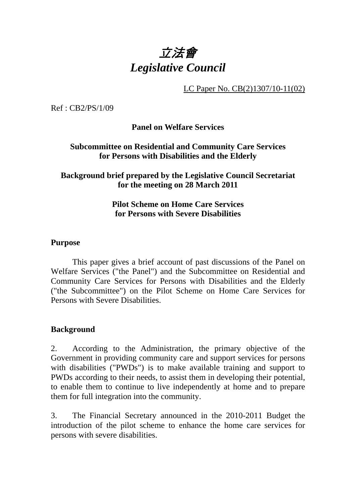# 立法會 *Legislative Council*

LC Paper No. CB(2)1307/10-11(02)

Ref : CB2/PS/1/09

**Panel on Welfare Services** 

#### **Subcommittee on Residential and Community Care Services for Persons with Disabilities and the Elderly**

### **Background brief prepared by the Legislative Council Secretariat for the meeting on 28 March 2011**

#### **Pilot Scheme on Home Care Services for Persons with Severe Disabilities**

#### **Purpose**

. This paper gives a brief account of past discussions of the Panel on Welfare Services ("the Panel") and the Subcommittee on Residential and Community Care Services for Persons with Disabilities and the Elderly ("the Subcommittee") on the Pilot Scheme on Home Care Services for Persons with Severe Disabilities.

#### **Background**

2. According to the Administration, the primary objective of the Government in providing community care and support services for persons with disabilities ("PWDs") is to make available training and support to PWDs according to their needs, to assist them in developing their potential, to enable them to continue to live independently at home and to prepare them for full integration into the community.

3. The Financial Secretary announced in the 2010-2011 Budget the introduction of the pilot scheme to enhance the home care services for persons with severe disabilities.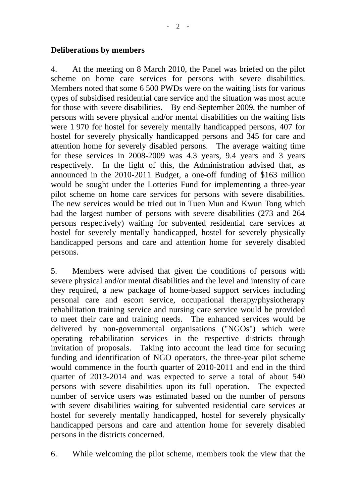#### **Deliberations by members**

4. At the meeting on 8 March 2010, the Panel was briefed on the pilot scheme on home care services for persons with severe disabilities. Members noted that some 6,500 PWDs were on the waiting lists for various types of subsidised residential care service and the situation was most acute for those with severe disabilities. By end-September 2009, the number of persons with severe physical and/or mental disabilities on the waiting lists were 1,970 for hostel for severely mentally handicapped persons, 407 for hostel for severely physically handicapped persons and 345 for care and attention home for severely disabled persons. The average waiting time for these services in 2008-2009 was 4.3 years, 9.4 years and 3 years respectively. In the light of this, the Administration advised that, as announced in the 2010-2011 Budget, a one-off funding of \$163 million would be sought under the Lotteries Fund for implementing a three-year pilot scheme on home care services for persons with severe disabilities. The new services would be tried out in Tuen Mun and Kwun Tong which had the largest number of persons with severe disabilities (273 and 264 persons respectively) waiting for subvented residential care services at hostel for severely mentally handicapped, hostel for severely physically handicapped persons and care and attention home for severely disabled persons.

5. Members were advised that given the conditions of persons with severe physical and/or mental disabilities and the level and intensity of care they required, a new package of home-based support services including personal care and escort service, occupational therapy/physiotherapy rehabilitation training service and nursing care service would be provided to meet their care and training needs. The enhanced services would be delivered by non-governmental organisations ("NGOs") which were operating rehabilitation services in the respective districts through invitation of proposals. Taking into account the lead time for securing funding and identification of NGO operators, the three-year pilot scheme would commence in the fourth quarter of 2010-2011 and end in the third quarter of 2013-2014 and was expected to serve a total of about 540 persons with severe disabilities upon its full operation. The expected number of service users was estimated based on the number of persons with severe disabilities waiting for subvented residential care services at hostel for severely mentally handicapped, hostel for severely physically handicapped persons and care and attention home for severely disabled persons in the districts concerned.

6. While welcoming the pilot scheme, members took the view that the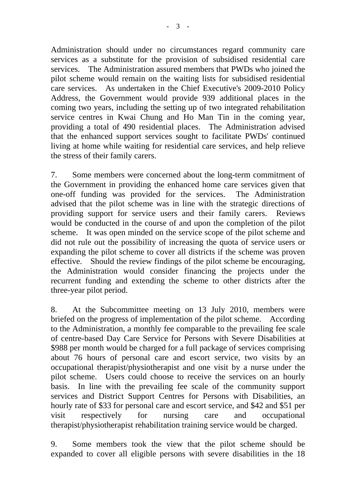Administration should under no circumstances regard community care services as a substitute for the provision of subsidised residential care services. The Administration assured members that PWDs who joined the pilot scheme would remain on the waiting lists for subsidised residential care services. As undertaken in the Chief Executive's 2009-2010 Policy Address, the Government would provide 939 additional places in the coming two years, including the setting up of two integrated rehabilitation service centres in Kwai Chung and Ho Man Tin in the coming year, providing a total of 490 residential places. The Administration advised that the enhanced support services sought to facilitate PWDs' continued living at home while waiting for residential care services, and help relieve the stress of their family carers.

7. Some members were concerned about the long-term commitment of the Government in providing the enhanced home care services given that one-off funding was provided for the services. The Administration advised that the pilot scheme was in line with the strategic directions of providing support for service users and their family carers. Reviews would be conducted in the course of and upon the completion of the pilot scheme. It was open minded on the service scope of the pilot scheme and did not rule out the possibility of increasing the quota of service users or expanding the pilot scheme to cover all districts if the scheme was proven effective. Should the review findings of the pilot scheme be encouraging, the Administration would consider financing the projects under the recurrent funding and extending the scheme to other districts after the three-year pilot period.

8. At the Subcommittee meeting on 13 July 2010, members were briefed on the progress of implementation of the pilot scheme. According to the Administration, a monthly fee comparable to the prevailing fee scale of centre-based Day Care Service for Persons with Severe Disabilities at \$988 per month would be charged for a full package of services comprising about 76 hours of personal care and escort service, two visits by an occupational therapist/physiotherapist and one visit by a nurse under the pilot scheme. Users could choose to receive the services on an hourly basis. In line with the prevailing fee scale of the community support services and District Support Centres for Persons with Disabilities, an hourly rate of \$33 for personal care and escort service, and \$42 and \$51 per visit respectively for nursing care and occupational therapist/physiotherapist rehabilitation training service would be charged.

9. Some members took the view that the pilot scheme should be expanded to cover all eligible persons with severe disabilities in the 18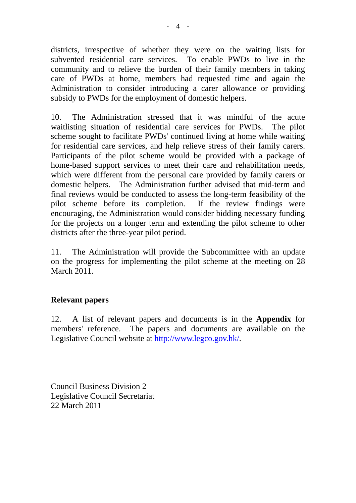districts, irrespective of whether they were on the waiting lists for subvented residential care services. To enable PWDs to live in the community and to relieve the burden of their family members in taking care of PWDs at home, members had requested time and again the Administration to consider introducing a carer allowance or providing subsidy to PWDs for the employment of domestic helpers.

10. The Administration stressed that it was mindful of the acute waitlisting situation of residential care services for PWDs. The pilot scheme sought to facilitate PWDs' continued living at home while waiting for residential care services, and help relieve stress of their family carers. Participants of the pilot scheme would be provided with a package of home-based support services to meet their care and rehabilitation needs, which were different from the personal care provided by family carers or domestic helpers. The Administration further advised that mid-term and final reviews would be conducted to assess the long-term feasibility of the pilot scheme before its completion. If the review findings were encouraging, the Administration would consider bidding necessary funding for the projects on a longer term and extending the pilot scheme to other districts after the three-year pilot period.

11. The Administration will provide the Subcommittee with an update on the progress for implementing the pilot scheme at the meeting on 28 March 2011.

## **Relevant papers**

12. A list of relevant papers and documents is in the **Appendix** for members' reference. The papers and documents are available on the Legislative Council website at http://www.legco.gov.hk/.

Council Business Division 2 Legislative Council Secretariat 22 March 2011